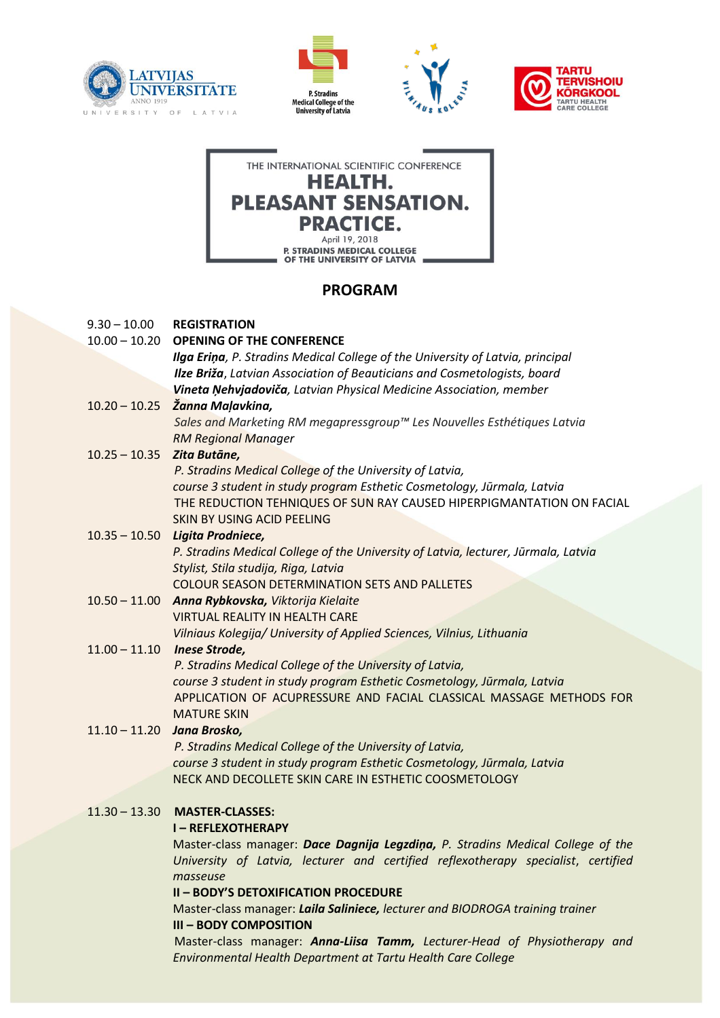









# **PROGRAM**

| $9.30 - 10.00$  | <b>REGISTRATION</b>                                                                |
|-----------------|------------------------------------------------------------------------------------|
|                 | 10.00 - 10.20 OPENING OF THE CONFERENCE                                            |
|                 | Ilga Eriņa, P. Stradins Medical College of the University of Latvia, principal     |
|                 | Ilze Briža, Latvian Association of Beauticians and Cosmetologists, board           |
|                 | Vineta Ņehvjadoviča, Latvian Physical Medicine Association, member                 |
|                 | $10.20 - 10.25$ Žanna Maļavkina,                                                   |
|                 | Sales and Marketing RM megapressgroup™ Les Nouvelles Esthétiques Latvia            |
|                 | <b>RM Regional Manager</b>                                                         |
| $10.25 - 10.35$ | Zita Butāne,                                                                       |
|                 | P. Stradins Medical College of the University of Latvia,                           |
|                 | course 3 student in study program Esthetic Cosmetology, Jūrmala, Latvia            |
|                 | THE REDUCTION TEHNIQUES OF SUN RAY CAUSED HIPERPIGMANTATION ON FACIAL              |
|                 | SKIN BY USING ACID PEELING                                                         |
| $10.35 - 10.50$ | Ligita Prodniece,                                                                  |
|                 | P. Stradins Medical College of the University of Latvia, lecturer, Jūrmala, Latvia |
|                 | Stylist, Stila studija, Riga, Latvia                                               |
|                 | <b>COLOUR SEASON DETERMINATION SETS AND PALLETES</b>                               |
|                 | 10.50 - 11.00 Anna Rybkovska, Viktorija Kielaite                                   |
|                 | <b>VIRTUAL REALITY IN HEALTH CARE</b>                                              |
|                 | Vilniaus Kolegija/ University of Applied Sciences, Vilnius, Lithuania              |
| $11.00 - 11.10$ | <b>Inese Strode,</b>                                                               |
|                 | P. Stradins Medical College of the University of Latvia,                           |
|                 | course 3 student in study program Esthetic Cosmetology, Jūrmala, Latvia            |
|                 | APPLICATION OF ACUPRESSURE AND FACIAL CLASSICAL MASSAGE METHODS FOR                |
|                 | <b>MATURE SKIN</b>                                                                 |
| $11.10 - 11.20$ | Jana Brosko,                                                                       |
|                 | P. Stradins Medical College of the University of Latvia,                           |
|                 | course 3 student in study program Esthetic Cosmetology, Jūrmala, Latvia            |
|                 | NECK AND DECOLLETE SKIN CARE IN ESTHETIC COOSMETOLOGY                              |
|                 |                                                                                    |
| $11.30 - 13.30$ | <b>MASTER-CLASSES:</b>                                                             |
|                 | <b>I-REFLEXOTHERAPY</b>                                                            |
|                 | Master-class manager: Dace Dagnija Legzdina, P. Stradins Medical College of the    |
|                 | University of Latvia, lecturer and certified reflexotherapy specialist, certified  |
|                 | masseuse                                                                           |
|                 | <b>II - BODY'S DETOXIFICATION PROCEDURE</b>                                        |
|                 | Master-class manager: Laila Saliniece, lecturer and BIODROGA training trainer      |
|                 | <b>III - BODY COMPOSITION</b>                                                      |

Master-class manager: *Anna-Liisa Tamm, Lecturer-Head of Physiotherapy and Environmental Health Department at Tartu Health Care College*